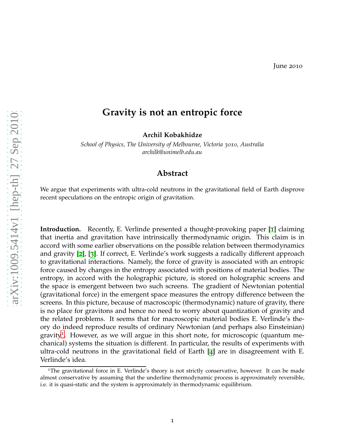## **Gravity is not an entropic force**

**Archil Kobakhidze**

*School of Physics, The University of Melbourne, Victoria 3010, Australia archilk@unimelb.edu.au*

## **Abstract**

We argue that experiments with ultra-cold neutrons in the gravitational field of Earth disprove recent speculations on the entropic origin of gravitation.

**Introduction.** Recently, E. Verlinde presented a thought-provoking paper [[1](#page-4-0)] claiming that inertia and gravitation have intrinsically thermodynamic origin. This claim is in accord with some earlier observations on the possible relation between thermodynamics and gravity [[2](#page-4-1)], [[3](#page-4-2)]. If correct, E. Verlinde's work suggests a radically different approach to gravitational interactions. Namely, the force of gravity is associated with an entropic force caused by changes in the entropy associated with positions of material bodies. The entropy, in accord with the holographic picture, is stored on holographic screens and the space is emergent between two such screens. The gradient of Newtonian potential (gravitational force) in the emergent space measures the entropy difference between the screens. In this picture, because of macroscopic (thermodynamic) nature of gravity, there is no place for gravitons and hence no need to worry about quantization of gravity and the related problems. It seems that for macroscopic material bodies E. Verlinde's theory do indeed reproduce results of ordinary Newtonian (and perhaps also Einsteinian) gravity<sup>[1](#page-0-0)</sup>. However, as we will argue in this short note, for microscopic (quantum mechanical) systems the situation is different. In particular, the results of experiments with ultra-cold neutrons in the gravitational field of Earth [[4](#page-4-3)] are in disagreement with E. Verlinde's idea.

<span id="page-0-0"></span><sup>1</sup>The gravitational force in E. Verlinde's theory is not strictly conservative, however. It can be made almost conservative by assuming that the underline thermodynamic process is approximately reversible, i.e. it is quasi-static and the system is approximately in thermodynamic equilibrium.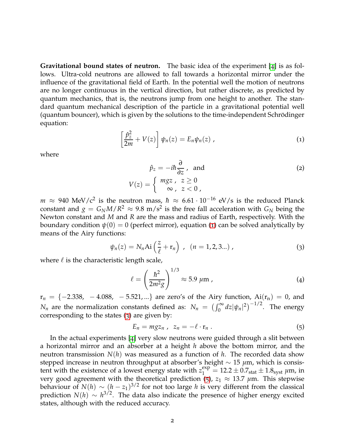**Gravitational bound states of neutron.** The basic idea of the experiment [[4](#page-4-3)] is as follows. Ultra-cold neutrons are allowed to fall towards a horizontal mirror under the influence of the gravitational field of Earth. In the potential well the motion of neutrons are no longer continuous in the vertical direction, but rather discrete, as predicted by quantum mechanics, that is, the neutrons jump from one height to another. The standard quantum mechanical description of the particle in a gravitational potential well (quantum bouncer), which is given by the solutions to the time-independent Schrodinger ¨ equation:

<span id="page-1-0"></span>
$$
\left[\frac{\hat{p}_z^2}{2m} + V(z)\right]\psi_n(z) = E_n\psi_n(z) , \qquad (1)
$$

where

$$
\hat{p}_z = -i\hbar \frac{\partial}{\partial z}, \text{ and}
$$
\n
$$
V(z) = \begin{cases} mgz, & z \ge 0 \\ \infty, & z < 0 \end{cases}
$$
\n(2)

 $m$   $\approx$  940 MeV/c<sup>2</sup> is the neutron mass,  $\hbar$   $\approx$  6.61·10<sup>-16</sup> eV/s is the reduced Planck constant and  $g = G_N M / R^2 \approx 9.8 \text{ m/s}^2$  is the free fall acceleration with  $G_N$  being the Newton constant and *M* and *R* are the mass and radius of Earth, respectively. With the boundary condition  $\psi(0) = 0$  (perfect mirror), equation ([1](#page-1-0)) can be solved analytically by means of the Airy functions:

<span id="page-1-1"></span>
$$
\psi_n(z) = N_n \text{Ai}\left(\frac{z}{\ell} + \mathbf{r}_n\right) , \ (n = 1, 2, 3...), \tag{3}
$$

where  $\ell$  is the characteristic length scale,

$$
\ell = \left(\frac{\hbar^2}{2m^2g}\right)^{1/3} \approx 5.9 \ \mu \text{m} \tag{4}
$$

 $r_n = \{-2.338, -4.088, -5.521, ...\}$  are zero's of the Airy function,  $Ai(r_n) = 0$ , and *N<sub>n</sub>* are the normalization constants defined as:  $N_n = (\int_0^\infty dz |\psi_n|^2)^{-1/2}$ . The energy corresponding to the states ([3](#page-1-1)) are given by:

<span id="page-1-2"></span>
$$
E_n = mgz_n , \ z_n = -\ell \cdot \mathbf{r}_n . \tag{5}
$$

In the actual experiments [[4](#page-4-3)] very slow neutrons were guided through a slit between a horizontal mirror and an absorber at a height *h* above the bottom mirror, and the neutron transmission  $N(h)$  was measured as a function of h. The recorded data show stepped increase in neutron throughput at absorber's height ∼ 15 *µ*m, which is consistent with the existence of a lowest energy state with  $z_1^{\text{exp}} = 12.2 \pm 0.7_{\text{stat}} \pm 1.8_{\text{syst}} \,\mu\text{m}$ , in very good agreement with the theoretical prediction ([5](#page-1-2)),  $z_1 \approx 13.7 \mu$ m. This stepwise behaviour of  $N(h) \sim (h-z_1)^{3/2}$  for not too large *h* is very different from the classical prediction *N*(*h*) ∼ *h* 3/2. The data also indicate the presence of higher energy excited states, although with the reduced accuracy.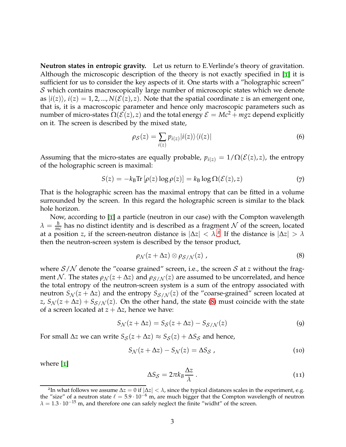**Neutron states in entropic gravity.** Let us return to E.Verlinde's theory of gravitation. Although the microscopic description of the theory is not exactly specified in [[1](#page-4-0)] it is sufficient for us to consider the key aspects of it. One starts with a "holographic screen"  $S$  which contains macroscopically large number of microscopic states which we denote as  $|i(z)\rangle$ ,  $i(z) = 1, 2, ..., N(\mathcal{E}(z), z)$ . Note that the spatial coordinate *z* is an emergent one, that is, it is a macroscopic parameter and hence only macroscopic parameters such as number of micro-states  $\Omega(\mathcal{E}(z), z)$  and the total energy  $\mathcal{E} = Mc^2 + mgz$  depend explicitly on it. The screen is described by the mixed state,

$$
\rho_{\mathcal{S}}(z) = \sum_{i(z)} p_{i(z)} |i(z)\rangle \langle i(z)| \tag{6}
$$

Assuming that the micro-states are equally probable,  $p_{i(z)} = 1/\Omega(\mathcal{E}(z), z)$ , the entropy of the holographic screen is maximal:

$$
S(z) = -k_{\rm B} \text{Tr} \left[ \rho(z) \log \rho(z) \right] = k_{\rm B} \log \Omega(\mathcal{E}(z), z) \tag{7}
$$

That is the holographic screen has the maximal entropy that can be fitted in a volume surrounded by the screen. In this regard the holographic screen is similar to the black hole horizon.

Now, according to [[1](#page-4-0)] a particle (neutron in our case) with the Compton wavelength  $\lambda = \frac{\hbar}{mc}$  has no distinct identity and is described as a fragment N of the screen, located at a position *z*, if the screen-neutron distance is  $|\Delta z| < \lambda$ .<sup>[2](#page-2-0)</sup> If the distance is  $|\Delta z| > \lambda$ then the neutron-screen system is described by the tensor product,

<span id="page-2-1"></span>
$$
\rho_{\mathcal{N}}(z+\Delta z)\otimes\rho_{\mathcal{S}/\mathcal{N}}(z)\,,\tag{8}
$$

where  $S/N$  denote the "coarse grained" screen, i.e., the screen S at *z* without the fragment N. The states  $\rho_{N}(z + \Delta z)$  and  $\rho_{S/N}(z)$  are assumed to be uncorrelated, and hence the total entropy of the neutron-screen system is a sum of the entropy associated with neutron  $S_N(z + \Delta z)$  and the entropy  $S_{S/N}(z)$  of the "coarse-grained" screen located at *z*,  $S_N(z + \Delta z) + S_{S/N}(z)$ . On the other hand, the state ([8](#page-2-1)) must coincide with the state of a screen located at  $z + \Delta z$ , hence we have:

$$
S_{\mathcal{N}}(z + \Delta z) = S_{\mathcal{S}}(z + \Delta z) - S_{\mathcal{S}/\mathcal{N}}(z)
$$
\n(9)

For small  $\Delta z$  we can write  $S_S(z + \Delta z) \approx S_S(z) + \Delta S_S$  and hence,

<span id="page-2-2"></span>
$$
S_{\mathcal{N}}(z + \Delta z) - S_{\mathcal{N}}(z) = \Delta S_{\mathcal{S}} \tag{10}
$$

where [[1](#page-4-0)]

<span id="page-2-3"></span>
$$
\Delta S_{\mathcal{S}} = 2\pi k_B \frac{\Delta z}{\lambda} \,. \tag{11}
$$

<span id="page-2-0"></span><sup>&</sup>lt;sup>2</sup>In what follows we assume  $\Delta z = 0$  if  $|\Delta z| < \lambda$ , since the typical distances scales in the experiment, e.g. the "size" of a neutron state  $\ell = 5.9 \cdot 10^{-6}$  m, are much bigger that the Compton wavelength of neutron  $\lambda = 1.3 \cdot 10^{-15}$  m, and therefore one can safely neglect the finite "widht" of the screen.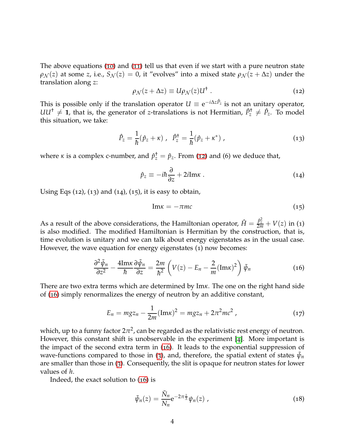The above equations ([10](#page-2-2)) and ([11](#page-2-3)) tell us that even if we start with a pure neutron state  $\rho_N(z)$  at some *z*, i.e.,  $S_N(z) = 0$ , it "evolves" into a mixed state  $\rho_N(z + \Delta z)$  under the translation along *z*:

<span id="page-3-0"></span>
$$
\rho_{\mathcal{N}}(z + \Delta z) \equiv U \rho_{\mathcal{N}}(z) U^{\dagger} \tag{12}
$$

This is possible only if the translation operator  $U \equiv {\rm e}^{-i\Delta z \hat{P}_z}$  is not an unitary operator,  $UU^{\dagger} \neq 1$ , that is, the generator of *z*-translations is not Hermitian,  $\hat{P}^{\dagger}_z \neq \hat{P}_z$ . To model this situation, we take:

$$
\hat{P}_z = \frac{1}{\hbar} (\hat{p}_z + \kappa) , \quad \hat{P}_z^{\dagger} = \frac{1}{\hbar} (\hat{p}_z + \kappa^*) , \tag{13}
$$

where *κ* is a complex c-number, and  $\hat{p}_z^{\dagger} = \hat{p}_z$ . From ([12](#page-3-0)) and (6) we deduce that,

$$
\hat{p}_z \equiv -i\hbar \frac{\partial}{\partial z} + 2i \text{Im}\kappa \ . \tag{14}
$$

Using Eqs  $(12)$ ,  $(13)$  and  $(14)$ ,  $(15)$ , it is easy to obtain,

$$
Im x = -\pi mc \tag{15}
$$

As a result of the above considerations, the Hamiltonian operator,  $\hat{H} = \frac{\hat{p}_z^2}{2m} + V(z)$  in (1) is also modified. The modified Hamiltonian is Hermitian by the construction, that is, time evolution is unitary and we can talk about energy eigenstates as in the usual case. However, the wave equation for energy eigenstates (1) now becomes:

<span id="page-3-1"></span>
$$
\frac{\partial^2 \tilde{\psi}_n}{\partial z^2} - \frac{4 \text{Im} \kappa}{\hbar} \frac{\partial \tilde{\psi}_n}{\partial z} = \frac{2m}{\hbar^2} \left( V(z) - E_n - \frac{2}{m} (\text{Im} \kappa)^2 \right) \tilde{\psi}_n \tag{16}
$$

There are two extra terms which are determined by Im*κ*. The one on the right hand side of ([16](#page-3-1)) simply renormalizes the energy of neutron by an additive constant,

$$
E_n = mgz_n - \frac{1}{2m}(\text{Im}\kappa)^2 = mgz_n + 2\pi^2mc^2 , \qquad (17)
$$

which*,* up to a funny factor 2 $\pi^2$ , can be regarded as the relativistic rest energy of neutron. However, this constant shift is unobservable in the experiment [[4](#page-4-3)]. More important is the impact of the second extra term in ([16](#page-3-1)). It leads to the exponential suppression of wave-functions compared to those in ([3](#page-1-1)), and, therefore, the spatial extent of states  $\tilde{\psi}_n$ are smaller than those in ([3](#page-1-1)). Consequently, the slit is opaque for neutron states for lower values of *h*.

Indeed, the exact solution to ([16](#page-3-1)) is

<span id="page-3-2"></span>
$$
\tilde{\psi}_n(z) = \frac{\tilde{N}_n}{N_n} e^{-2\pi \frac{z}{\lambda}} \psi_n(z) , \qquad (18)
$$